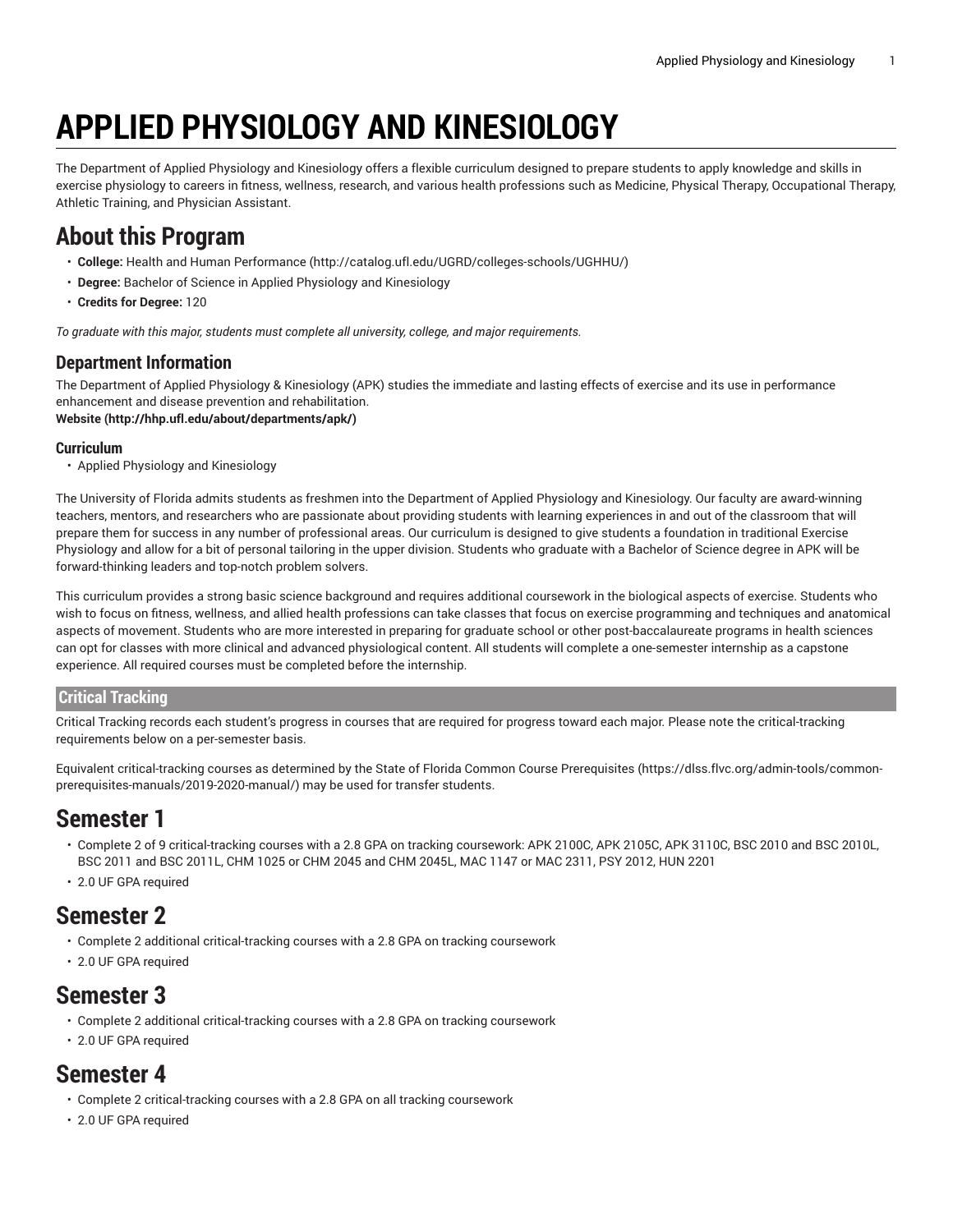# **APPLIED PHYSIOLOGY AND KINESIOLOGY**

The Department of Applied Physiology and Kinesiology offers a flexible curriculum designed to prepare students to apply knowledge and skills in exercise physiology to careers in fitness, wellness, research, and various health professions such as Medicine, Physical Therapy, Occupational Therapy, Athletic Training, and Physician Assistant.

# **About this Program**

- **College:** Health and Human [Performance](http://catalog.ufl.edu/UGRD/colleges-schools/UGHHU/) (<http://catalog.ufl.edu/UGRD/colleges-schools/UGHHU/>)
- **Degree:** Bachelor of Science in Applied Physiology and Kinesiology
- **Credits for Degree:** 120

*To graduate with this major, students must complete all university, college, and major requirements.*

### **Department Information**

The Department of Applied Physiology & Kinesiology (APK) studies the immediate and lasting effects of exercise and its use in performance enhancement and disease prevention and rehabilitation.

**[Website](http://hhp.ufl.edu/about/departments/apk/) (<http://hhp.ufl.edu/about/departments/apk/>)**

#### **Curriculum**

• Applied Physiology and Kinesiology

The University of Florida admits students as freshmen into the Department of Applied Physiology and Kinesiology. Our faculty are award-winning teachers, mentors, and researchers who are passionate about providing students with learning experiences in and out of the classroom that will prepare them for success in any number of professional areas. Our curriculum is designed to give students a foundation in traditional Exercise Physiology and allow for a bit of personal tailoring in the upper division. Students who graduate with a Bachelor of Science degree in APK will be forward-thinking leaders and top-notch problem solvers.

This curriculum provides a strong basic science background and requires additional coursework in the biological aspects of exercise. Students who wish to focus on fitness, wellness, and allied health professions can take classes that focus on exercise programming and techniques and anatomical aspects of movement. Students who are more interested in preparing for graduate school or other post-baccalaureate programs in health sciences can opt for classes with more clinical and advanced physiological content. All students will complete a one-semester internship as a capstone experience. All required courses must be completed before the internship.

#### **Critical Tracking**

Critical Tracking records each student's progress in courses that are required for progress toward each major. Please note the critical-tracking requirements below on a per-semester basis.

Equivalent critical-tracking courses as determined by the State of Florida Common Course [Prerequisites](https://dlss.flvc.org/admin-tools/common-prerequisites-manuals/2019-2020-manual/) ([https://dlss.flvc.org/admin-tools/common](https://dlss.flvc.org/admin-tools/common-prerequisites-manuals/2019-2020-manual/)[prerequisites-manuals/2019-2020-manual/\)](https://dlss.flvc.org/admin-tools/common-prerequisites-manuals/2019-2020-manual/) may be used for transfer students.

### **Semester 1**

- Complete 2 of 9 critical-tracking courses with a 2.8 GPA on tracking coursework: APK 2100C, APK 2105C, APK 3110C, BSC 2010 and BSC 2010L, BSC 2011 and BSC 2011L, CHM 1025 or CHM 2045 and CHM 2045L, MAC 1147 or MAC 2311, PSY 2012, HUN 2201
- 2.0 UF GPA required

### **Semester 2**

- Complete 2 additional critical-tracking courses with a 2.8 GPA on tracking coursework
- 2.0 UF GPA required

### **Semester 3**

- Complete 2 additional critical-tracking courses with a 2.8 GPA on tracking coursework
- 2.0 UF GPA required

### **Semester 4**

- Complete 2 critical-tracking courses with a 2.8 GPA on all tracking coursework
- 2.0 UF GPA required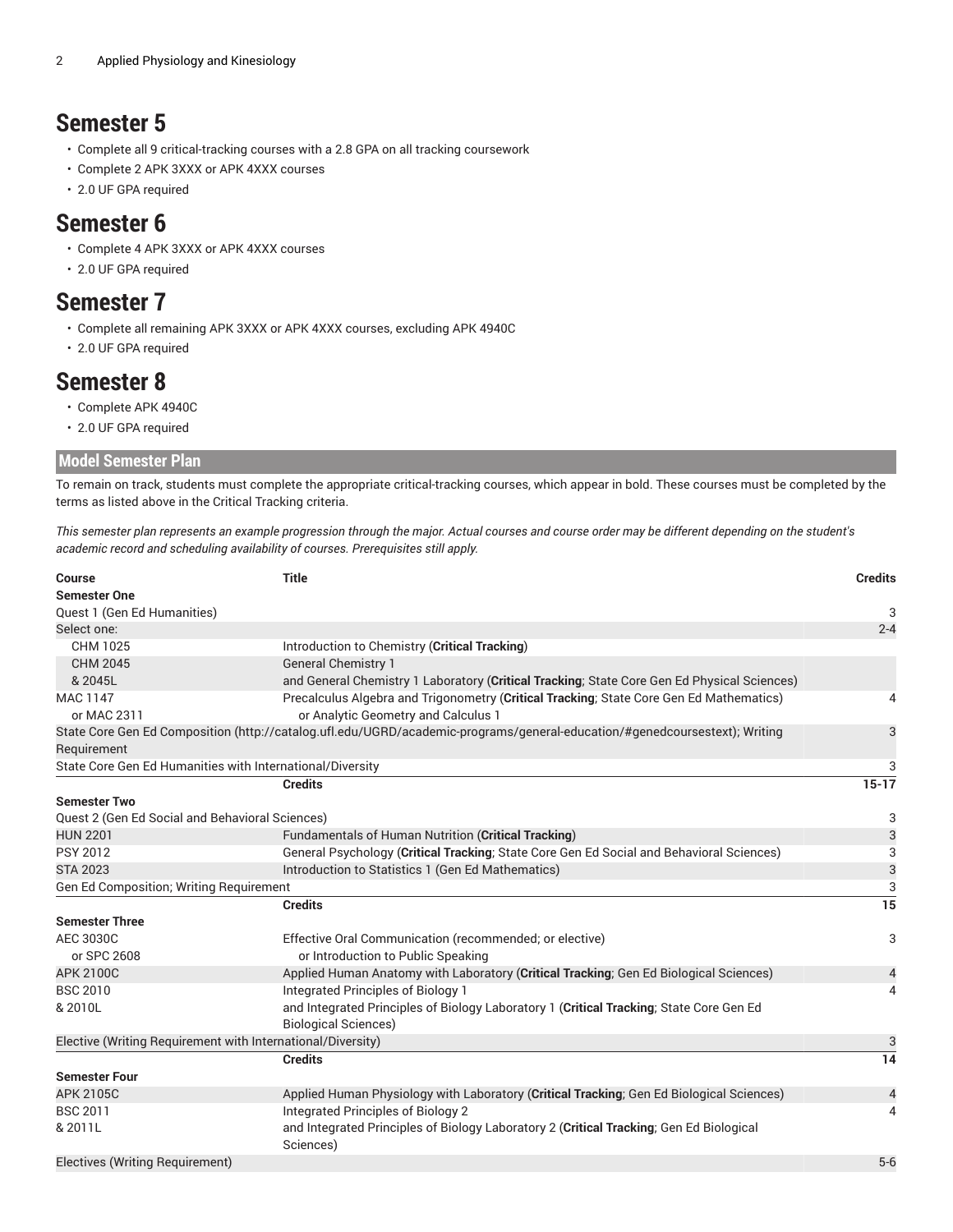### **Semester 5**

- Complete all 9 critical-tracking courses with a 2.8 GPA on all tracking coursework
- Complete 2 APK 3XXX or APK 4XXX courses
- 2.0 UF GPA required

### **Semester 6**

- Complete 4 APK 3XXX or APK 4XXX courses
- 2.0 UF GPA required

### **Semester 7**

- Complete all remaining APK 3XXX or APK 4XXX courses, excluding APK 4940C
- 2.0 UF GPA required

### **Semester 8**

- Complete APK 4940C
- 2.0 UF GPA required

#### **Model Semester Plan**

To remain on track, students must complete the appropriate critical-tracking courses, which appear in bold. These courses must be completed by the terms as listed above in the Critical Tracking criteria.

This semester plan represents an example progression through the major. Actual courses and course order may be different depending on the student's *academic record and scheduling availability of courses. Prerequisites still apply.*

| Course                                                      | <b>Title</b>                                                                                                               | <b>Credits</b>  |
|-------------------------------------------------------------|----------------------------------------------------------------------------------------------------------------------------|-----------------|
| <b>Semester One</b>                                         |                                                                                                                            |                 |
| Quest 1 (Gen Ed Humanities)                                 |                                                                                                                            | 3               |
| Select one:                                                 |                                                                                                                            | $2 - 4$         |
| CHM 1025                                                    | Introduction to Chemistry (Critical Tracking)                                                                              |                 |
| <b>CHM 2045</b>                                             | <b>General Chemistry 1</b>                                                                                                 |                 |
| & 2045L                                                     | and General Chemistry 1 Laboratory (Critical Tracking; State Core Gen Ed Physical Sciences)                                |                 |
| <b>MAC 1147</b>                                             | Precalculus Algebra and Trigonometry (Critical Tracking; State Core Gen Ed Mathematics)                                    | 4               |
| or MAC 2311                                                 | or Analytic Geometry and Calculus 1                                                                                        |                 |
|                                                             | State Core Gen Ed Composition (http://catalog.ufl.edu/UGRD/academic-programs/general-education/#genedcoursestext); Writing | 3               |
| Requirement                                                 |                                                                                                                            |                 |
| State Core Gen Ed Humanities with International/Diversity   |                                                                                                                            | 3               |
|                                                             | <b>Credits</b>                                                                                                             | $15 - 17$       |
| <b>Semester Two</b>                                         |                                                                                                                            |                 |
| Quest 2 (Gen Ed Social and Behavioral Sciences)             |                                                                                                                            | 3               |
| <b>HUN 2201</b>                                             | Fundamentals of Human Nutrition (Critical Tracking)                                                                        | 3               |
| <b>PSY 2012</b>                                             | General Psychology (Critical Tracking; State Core Gen Ed Social and Behavioral Sciences)                                   | 3               |
| <b>STA 2023</b>                                             | Introduction to Statistics 1 (Gen Ed Mathematics)                                                                          | 3               |
| Gen Ed Composition; Writing Requirement                     |                                                                                                                            | 3               |
|                                                             | <b>Credits</b>                                                                                                             | $\overline{15}$ |
| <b>Semester Three</b>                                       |                                                                                                                            |                 |
| AEC 3030C                                                   | Effective Oral Communication (recommended; or elective)                                                                    | 3               |
| or SPC 2608                                                 | or Introduction to Public Speaking                                                                                         |                 |
| <b>APK 2100C</b>                                            | Applied Human Anatomy with Laboratory (Critical Tracking; Gen Ed Biological Sciences)                                      | 4               |
| <b>BSC 2010</b>                                             | Integrated Principles of Biology 1                                                                                         | 4               |
| & 2010L                                                     | and Integrated Principles of Biology Laboratory 1 (Critical Tracking; State Core Gen Ed                                    |                 |
|                                                             | <b>Biological Sciences)</b>                                                                                                |                 |
| Elective (Writing Requirement with International/Diversity) |                                                                                                                            | 3               |
|                                                             | <b>Credits</b>                                                                                                             | $\overline{14}$ |
| <b>Semester Four</b>                                        |                                                                                                                            |                 |
| <b>APK 2105C</b>                                            | Applied Human Physiology with Laboratory (Critical Tracking; Gen Ed Biological Sciences)                                   | 4               |
| <b>BSC 2011</b>                                             | Integrated Principles of Biology 2                                                                                         | 4               |
| & 2011L                                                     | and Integrated Principles of Biology Laboratory 2 (Critical Tracking; Gen Ed Biological<br>Sciences)                       |                 |
| Electives (Writing Requirement)                             |                                                                                                                            | $5-6$           |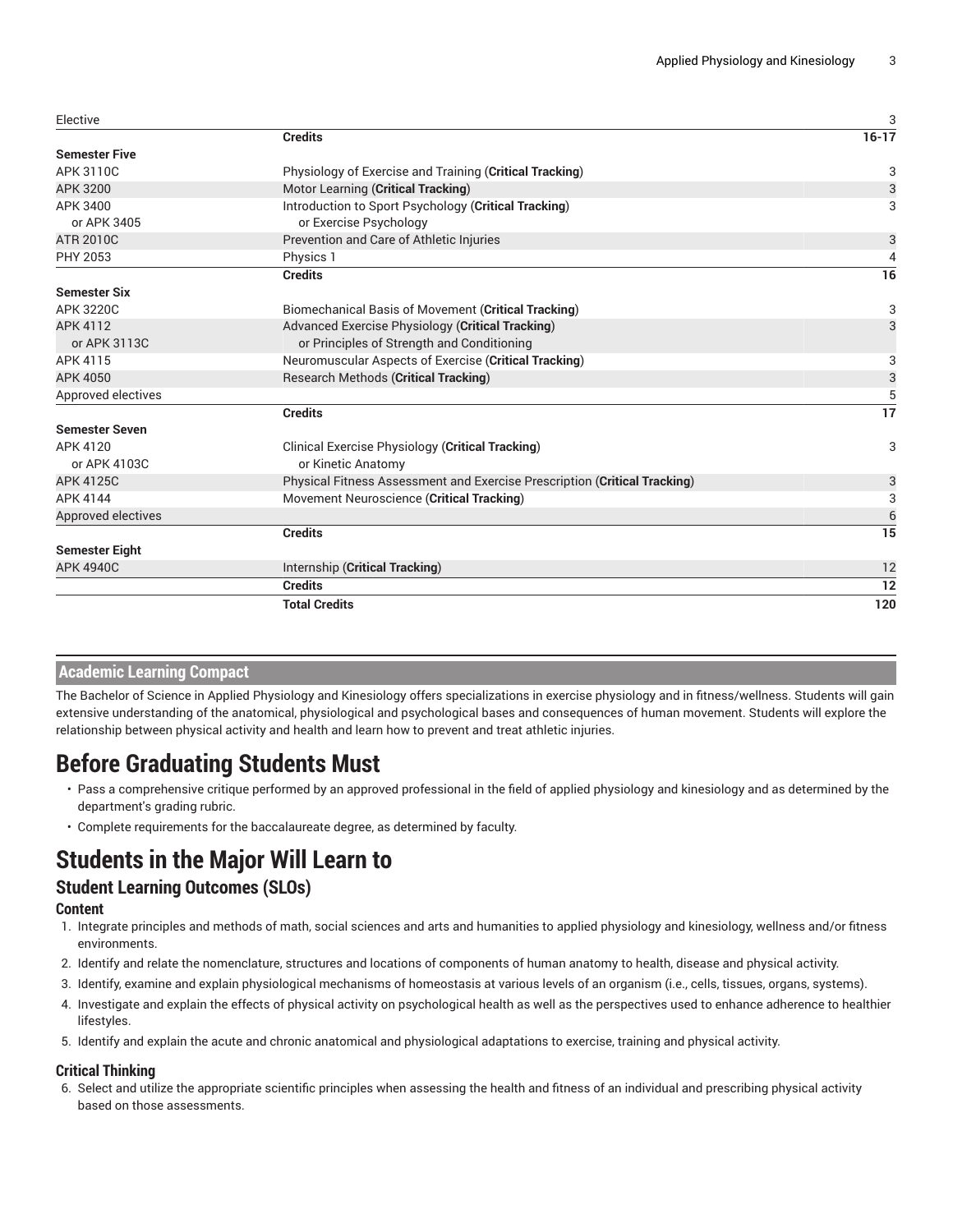| Elective              |                                                                           | 3         |
|-----------------------|---------------------------------------------------------------------------|-----------|
|                       | <b>Credits</b>                                                            | $16 - 17$ |
| <b>Semester Five</b>  |                                                                           |           |
| APK 3110C             | Physiology of Exercise and Training (Critical Tracking)                   | 3         |
| APK 3200              | Motor Learning (Critical Tracking)                                        | 3         |
| APK 3400              | Introduction to Sport Psychology (Critical Tracking)                      | 3         |
| or APK 3405           | or Exercise Psychology                                                    |           |
| <b>ATR 2010C</b>      | Prevention and Care of Athletic Injuries                                  | 3         |
| PHY 2053              | Physics 1                                                                 | 4         |
|                       | <b>Credits</b>                                                            | 16        |
| <b>Semester Six</b>   |                                                                           |           |
| <b>APK 3220C</b>      | Biomechanical Basis of Movement (Critical Tracking)                       | 3         |
| APK 4112              | Advanced Exercise Physiology (Critical Tracking)                          | 3         |
| or APK 3113C          | or Principles of Strength and Conditioning                                |           |
| APK 4115              | Neuromuscular Aspects of Exercise (Critical Tracking)                     | 3         |
| APK 4050              | <b>Research Methods (Critical Tracking)</b>                               | 3         |
| Approved electives    |                                                                           | 5         |
|                       | <b>Credits</b>                                                            | 17        |
| <b>Semester Seven</b> |                                                                           |           |
| APK 4120              | Clinical Exercise Physiology (Critical Tracking)                          | 3         |
| or APK 4103C          | or Kinetic Anatomy                                                        |           |
| <b>APK 4125C</b>      | Physical Fitness Assessment and Exercise Prescription (Critical Tracking) | 3         |
| APK 4144              | Movement Neuroscience (Critical Tracking)                                 | 3         |
| Approved electives    |                                                                           | 6         |
|                       | <b>Credits</b>                                                            | 15        |
| <b>Semester Eight</b> |                                                                           |           |
| <b>APK 4940C</b>      | Internship (Critical Tracking)                                            | 12        |
|                       | <b>Credits</b>                                                            | 12        |
|                       | <b>Total Credits</b>                                                      | 120       |
|                       |                                                                           |           |

### **Academic Learning Compact**

The Bachelor of Science in Applied Physiology and Kinesiology offers specializations in exercise physiology and in fitness/wellness. Students will gain extensive understanding of the anatomical, physiological and psychological bases and consequences of human movement. Students will explore the relationship between physical activity and health and learn how to prevent and treat athletic injuries.

# **Before Graduating Students Must**

- Pass a comprehensive critique performed by an approved professional in the field of applied physiology and kinesiology and as determined by the department's grading rubric.
- Complete requirements for the baccalaureate degree, as determined by faculty.

# **Students in the Major Will Learn to**

### **Student Learning Outcomes (SLOs)**

#### **Content**

- 1. Integrate principles and methods of math, social sciences and arts and humanities to applied physiology and kinesiology, wellness and/or fitness environments.
- 2. Identify and relate the nomenclature, structures and locations of components of human anatomy to health, disease and physical activity.
- 3. Identify, examine and explain physiological mechanisms of homeostasis at various levels of an organism (i.e., cells, tissues, organs, systems).
- 4. Investigate and explain the effects of physical activity on psychological health as well as the perspectives used to enhance adherence to healthier lifestyles.
- 5. Identify and explain the acute and chronic anatomical and physiological adaptations to exercise, training and physical activity.

#### **Critical Thinking**

6. Select and utilize the appropriate scientific principles when assessing the health and fitness of an individual and prescribing physical activity based on those assessments.